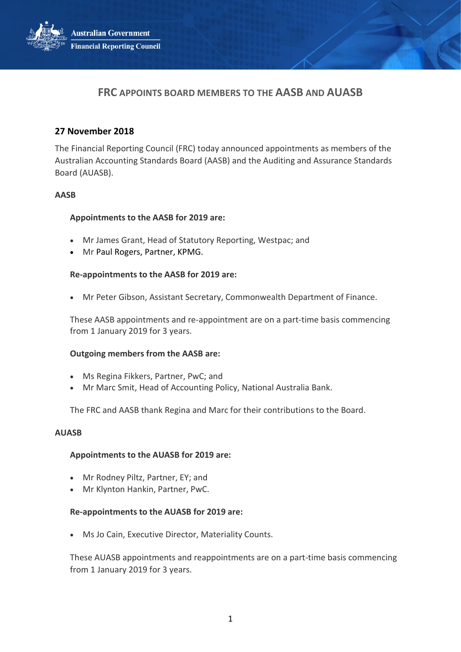**Australian Government Financial Reporting Council** 



# **FRC APPOINTS BOARD MEMBERS TO THE AASB AND AUASB**

# **27 November 2018**

The Financial Reporting Council (FRC) today announced appointments as members of the Australian Accounting Standards Board (AASB) and the Auditing and Assurance Standards Board (AUASB).

# **AASB**

# **Appointments to the AASB for 2019 are:**

- Mr James Grant, Head of Statutory Reporting, Westpac; and
- Mr Paul Rogers, Partner, KPMG.

### **Re-appointments to the AASB for 2019 are:**

• Mr Peter Gibson, Assistant Secretary, Commonwealth Department of Finance.

These AASB appointments and re-appointment are on a part-time basis commencing from 1 January 2019 for 3 years.

#### **Outgoing members from the AASB are:**

- Ms Regina Fikkers, Partner, PwC; and
- Mr Marc Smit, Head of Accounting Policy, National Australia Bank.

The FRC and AASB thank Regina and Marc for their contributions to the Board.

#### **AUASB**

# **Appointments to the AUASB for 2019 are:**

- Mr Rodney Piltz, Partner, EY; and
- Mr Klynton Hankin, Partner, PwC.

# **Re-appointments to the AUASB for 2019 are:**

• Ms Jo Cain, Executive Director, Materiality Counts.

These AUASB appointments and reappointments are on a part-time basis commencing from 1 January 2019 for 3 years.